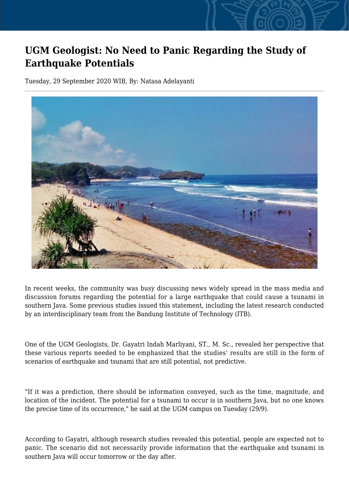## **UGM Geologist: No Need to Panic Regarding the Study of Earthquake Potentials**

Tuesday, 29 September 2020 WIB, By: Natasa Adelayanti



In recent weeks, the community was busy discussing news widely spread in the mass media and discussion forums regarding the potential for a large earthquake that could cause a tsunami in southern Java. Some previous studies issued this statement, including the latest research conducted by an interdisciplinary team from the Bandung Institute of Technology (ITB).

One of the UGM Geologists, Dr. Gayatri Indah Marliyani, ST., M. Sc., revealed her perspective that these various reports needed to be emphasized that the studies' results are still in the form of scenarios of earthquake and tsunami that are still potential, not predictive.

"If it was a prediction, there should be information conveyed, such as the time, magnitude, and location of the incident. The potential for a tsunami to occur is in southern Java, but no one knows the precise time of its occurrence," he said at the UGM campus on Tuesday (29/9).

According to Gayatri, although research studies revealed this potential, people are expected not to panic. The scenario did not necessarily provide information that the earthquake and tsunami in southern Java will occur tomorrow or the day after.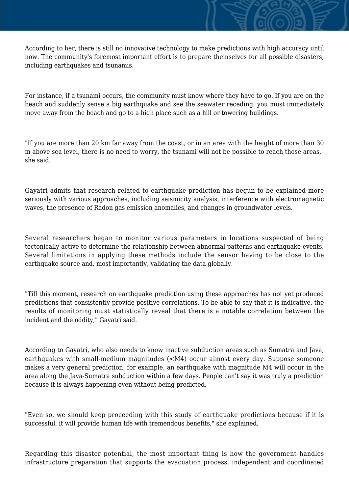According to her, there is still no innovative technology to make predictions with high accuracy until now. The community's foremost important effort is to prepare themselves for all possible disasters, including earthquakes and tsunamis.

For instance, if a tsunami occurs, the community must know where they have to go. If you are on the beach and suddenly sense a big earthquake and see the seawater receding, you must immediately move away from the beach and go to a high place such as a hill or towering buildings.

"If you are more than 20 km far away from the coast, or in an area with the height of more than 30 m above sea level, there is no need to worry, the tsunami will not be possible to reach those areas," she said.

Gayatri admits that research related to earthquake prediction has begun to be explained more seriously with various approaches, including seismicity analysis, interference with electromagnetic waves, the presence of Radon gas emission anomalies, and changes in groundwater levels.

Several researchers began to monitor various parameters in locations suspected of being tectonically active to determine the relationship between abnormal patterns and earthquake events. Several limitations in applying these methods include the sensor having to be close to the earthquake source and, most importantly, validating the data globally.

"Till this moment, research on earthquake prediction using these approaches has not yet produced predictions that consistently provide positive correlations. To be able to say that it is indicative, the results of monitoring must statistically reveal that there is a notable correlation between the incident and the oddity," Gayatri said.

According to Gayatri, who also needs to know inactive subduction areas such as Sumatra and Java, earthquakes with small-medium magnitudes (<M4) occur almost every day. Suppose someone makes a very general prediction, for example, an earthquake with magnitude M4 will occur in the area along the Java-Sumatra subduction within a few days. People can't say it was truly a prediction because it is always happening even without being predicted.

"Even so, we should keep proceeding with this study of earthquake predictions because if it is successful, it will provide human life with tremendous benefits," she explained.

Regarding this disaster potential, the most important thing is how the government handles infrastructure preparation that supports the evacuation process, independent and coordinated